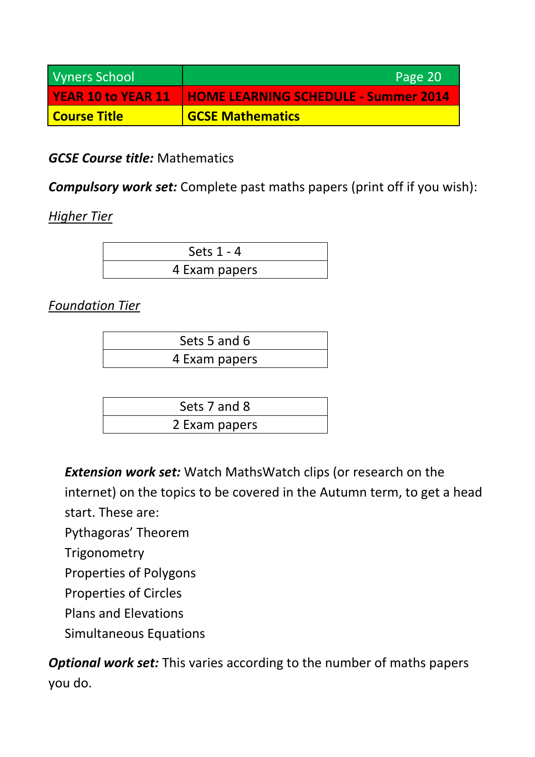| Vyners School             | Page 20                                     |
|---------------------------|---------------------------------------------|
| <b>YEAR 10 to YEAR 11</b> | <b>HOME LEARNING SCHEDULE - Summer 2014</b> |
| <u>l Course Title</u>     | <b>GCSE Mathematics</b>                     |

## *GCSE Course title:* Mathematics

*Compulsory work set:* Complete past maths papers (print off if you wish):

## *Higher Tier*

Sets 1 - 4 4 Exam papers

## *Foundation Tier*

|  | Sets 5 and 6  |  |
|--|---------------|--|
|  | 4 Exam papers |  |

| Sets 7 and 8  |  |
|---------------|--|
| 2 Exam papers |  |

*Extension work set:* Watch MathsWatch clips (or research on the

internet) on the topics to be covered in the Autumn term, to get a head start. These are:

Pythagoras' Theorem

**Trigonometry** 

Properties of Polygons

Properties of Circles

Plans and Elevations

Simultaneous Equations

*Optional work set:* This varies according to the number of maths papers you do.